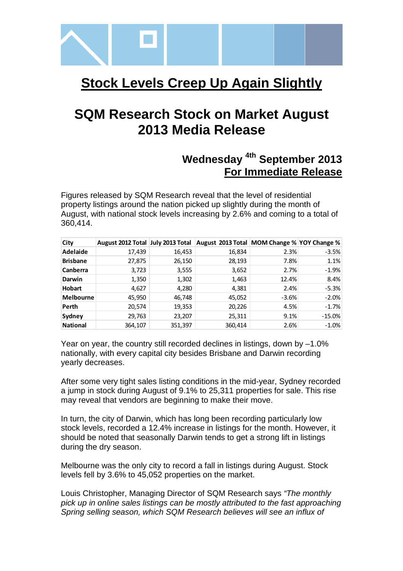

# **Stock Levels Creep Up Again Slightly**

# **SQM Research Stock on Market August 2013 Media Release**

## **Wednesday 4th September 2013 For Immediate Release**

Figures released by SQM Research reveal that the level of residential property listings around the nation picked up slightly during the month of August, with national stock levels increasing by 2.6% and coming to a total of 360,414.

| City             | August 2012 Total July 2013 Total |         | August 2013 Total MOM Change % YOY Change % |         |          |
|------------------|-----------------------------------|---------|---------------------------------------------|---------|----------|
| Adelaide         | 17,439                            | 16,453  | 16,834                                      | 2.3%    | $-3.5%$  |
| <b>Brisbane</b>  | 27,875                            | 26,150  | 28,193                                      | 7.8%    | 1.1%     |
| <b>Canberra</b>  | 3,723                             | 3,555   | 3,652                                       | 2.7%    | $-1.9%$  |
| <b>Darwin</b>    | 1,350                             | 1,302   | 1,463                                       | 12.4%   | 8.4%     |
| <b>Hobart</b>    | 4,627                             | 4,280   | 4,381                                       | 2.4%    | $-5.3%$  |
| <b>Melbourne</b> | 45,950                            | 46,748  | 45,052                                      | $-3.6%$ | $-2.0%$  |
| Perth            | 20,574                            | 19,353  | 20,226                                      | 4.5%    | $-1.7%$  |
| <b>Sydney</b>    | 29,763                            | 23,207  | 25,311                                      | 9.1%    | $-15.0%$ |
| <b>National</b>  | 364,107                           | 351,397 | 360,414                                     | 2.6%    | $-1.0\%$ |

Year on year, the country still recorded declines in listings, down by –1.0% nationally, with every capital city besides Brisbane and Darwin recording yearly decreases.

After some very tight sales listing conditions in the mid-year, Sydney recorded a jump in stock during August of 9.1% to 25,311 properties for sale. This rise may reveal that vendors are beginning to make their move.

In turn, the city of Darwin, which has long been recording particularly low stock levels, recorded a 12.4% increase in listings for the month. However, it should be noted that seasonally Darwin tends to get a strong lift in listings during the dry season.

Melbourne was the only city to record a fall in listings during August. Stock levels fell by 3.6% to 45,052 properties on the market.

Louis Christopher, Managing Director of SQM Research says "The monthly pick up in online sales listings can be mostly attributed to the fast approaching Spring selling season, which SQM Research believes will see an influx of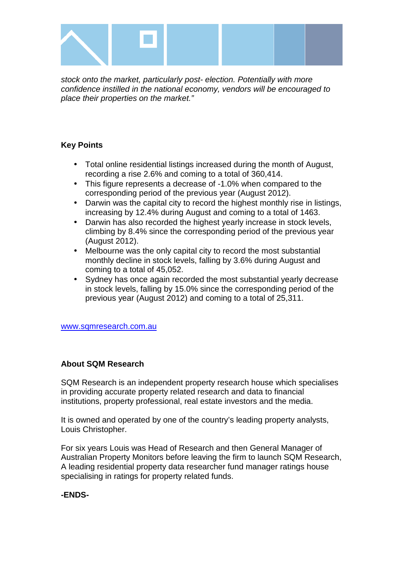

stock onto the market, particularly post- election. Potentially with more confidence instilled in the national economy, vendors will be encouraged to place their properties on the market."

### **Key Points**

- Total online residential listings increased during the month of August, recording a rise 2.6% and coming to a total of 360,414.
- This figure represents a decrease of -1.0% when compared to the corresponding period of the previous year (August 2012).
- Darwin was the capital city to record the highest monthly rise in listings, increasing by 12.4% during August and coming to a total of 1463.
- Darwin has also recorded the highest yearly increase in stock levels, climbing by 8.4% since the corresponding period of the previous year (August 2012).
- Melbourne was the only capital city to record the most substantial monthly decline in stock levels, falling by 3.6% during August and coming to a total of 45,052.
- Sydney has once again recorded the most substantial yearly decrease in stock levels, falling by 15.0% since the corresponding period of the previous year (August 2012) and coming to a total of 25,311.

www.sqmresearch.com.au

### **About SQM Research**

SQM Research is an independent property research house which specialises in providing accurate property related research and data to financial institutions, property professional, real estate investors and the media.

It is owned and operated by one of the country's leading property analysts, Louis Christopher.

For six years Louis was Head of Research and then General Manager of Australian Property Monitors before leaving the firm to launch SQM Research, A leading residential property data researcher fund manager ratings house specialising in ratings for property related funds.

### **-ENDS-**